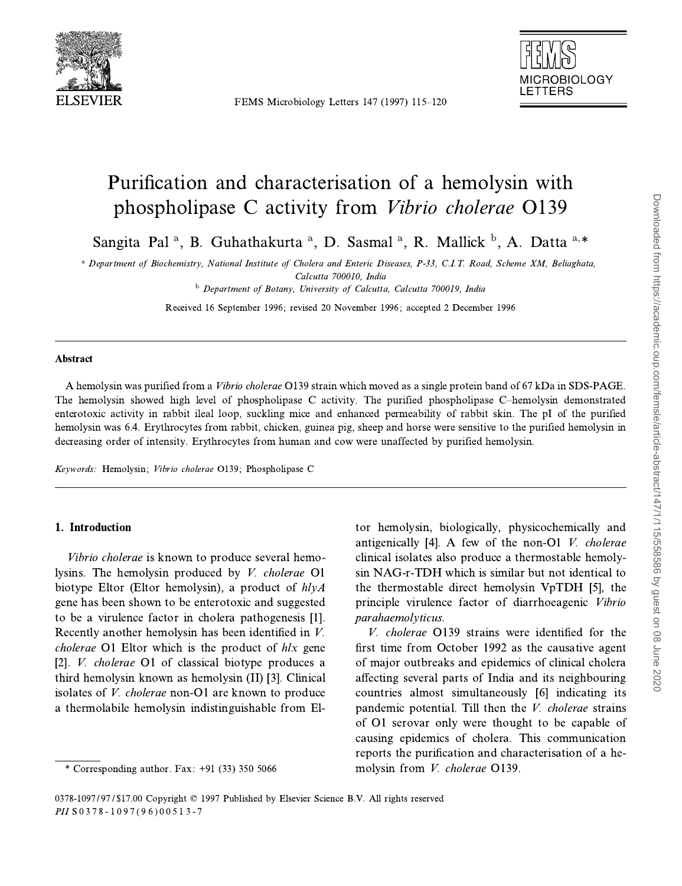

FEMS Microbiology Letters 147 (1997) 115-120



# Purification and characterisation of a hemolysin with phospholipase C activity from *Vibrio cholerae* O139

Sangita Pal<sup>a</sup>, B. Guhathakurta<sup>a</sup>, D. Sasmal<sup>a</sup>, R. Mallick<sup>b</sup>, A. Datta<sup>a,\*</sup>

<sup>a</sup> Department of Biochemistry, National Institute of Cholera and Enteric Diseases, P-33, C.I.T. Road, Scheme XM, Beliaghata, Calcutta 700010, India

<sup>b</sup> Department of Botany, University of Calcutta, Calcutta 700019, India

Received 16 September 1996; revised 20 November 1996; accepted 2 December 1996

#### Abstract

A hemolysin was purified from a *Vibrio cholerae* O139 strain which moved as a single protein band of 67 kDa in SDS-PAGE. The hemolysin showed high level of phospholipase C activity. The purified phospholipase C-hemolysin demonstrated enterotoxic activity in rabbit ileal loop, suckling mice and enhanced permeability of rabbit skin. The pI of the purified hemolysin was 6.4. Erythrocytes from rabbit, chicken, guinea pig, sheep and horse were sensitive to the purified hemolysin in decreasing order of intensity. Erythrocytes from human and cow were unaffected by purified hemolysin.

Keywords: Hemolysin; Vibrio cholerae O139; Phospholipase C

## 1. Introduction

*Vibrio cholerae* is known to produce several hemolysins. The hemolysin produced by *V. cholerae* O1 biotype Eltor (Eltor hemolysin), a product of  $hlyA$ gene has been shown to be enterotoxic and suggested to be a virulence factor in cholera pathogenesis [1]. Recently another hemolysin has been identified in  $V$ . *cholerae* O1 Eltor which is the product of hlx gene [2]. *V. cholerae* O1 of classical biotype produces a third hemolysin known as hemolysin (II) [3]. Clinical isolates of *V. cholerae* non-O1 are known to produce a thermolabile hemolysin indistinguishable from El-

tor hemolysin, biologically, physicochemically and antigenically [4]. A few of the non-O1  $V$ . cholerae clinical isolates also produce a thermostable hemolysin NAG-r-TDH which is similar but not identical to the thermostable direct hemolysin VpTDH [5], the principle virulence factor of diarrhoeagenic Vibrio parahaemolyticus.

V. cholerae O139 strains were identified for the first time from October 1992 as the causative agent of major outbreaks and epidemics of clinical cholera affecting several parts of India and its neighbouring countries almost simultaneously [6] indicating its pandemic potential. Till then the *V. cholerae* strains of O1 serovar only were thought to be capable of causing epidemics of cholera. This communication reports the purification and characterisation of a hemolysin from V. cholerae O139.

<sup>\*</sup> Corresponding author. Fax:  $+91$  (33) 350 5066

<sup>0378-1097/97/\$17.00</sup> Copyright © 1997 Published by Elsevier Science B.V. All rights reserved PH S0378-1097(96)00513-7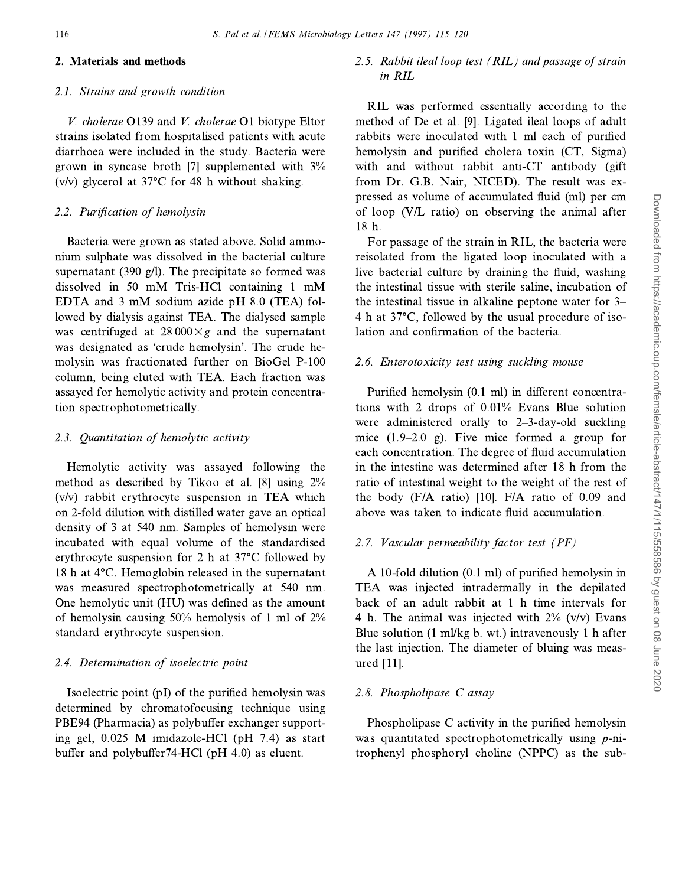## 2. Materials and methods

## 2.1. Strains and growth condition

V. cholerae O139 and V. cholerae O1 biotype Eltor strains isolated from hospitalised patients with acute diarrhoea were included in the study. Bacteria were grown in syncase broth [7] supplemented with  $3\%$  $(v/v)$  glycerol at 37 $\degree$ C for 48 h without shaking.

## 2.2. Purification of hemolysin

Bacteria were grown as stated above. Solid ammonium sulphate was dissolved in the bacterial culture supernatant (390 g/l). The precipitate so formed was dissolved in 50 mM Tris-HCl containing 1 mM EDTA and 3 mM sodium azide pH 8.0 (TEA) followed by dialysis against TEA. The dialysed sample was centrifuged at  $28000 \times g$  and the supernatant was designated as 'crude hemolysin'. The crude hemolysin was fractionated further on BioGel P-100 column, being eluted with TEA. Each fraction was assayed for hemolytic activity and protein concentration spectrophotometrically.

## 2.3. Quantitation of hemolytic activity

Hemolytic activity was assayed following the method as described by Tikoo et al. [8] using 2%  $(v/v)$  rabbit erythrocyte suspension in TEA which on 2-fold dilution with distilled water gave an optical density of 3 at 540 nm. Samples of hemolysin were incubated with equal volume of the standardised erythrocyte suspension for 2 h at 37°C followed by 18 h at 4°C. Hemoglobin released in the supernatant was measured spectrophotometrically at 540 nm. One hemolytic unit (HU) was defined as the amount of hemolysin causing 50% hemolysis of 1 ml of 2% standard erythrocyte suspension.

## 2.4. Determination of isoelectric point

Isoelectric point (pI) of the purified hemolysin was determined by chromatofocusing technique using PBE94 (Pharmacia) as polybuffer exchanger supporting gel, 0.025 M imidazole-HCl (pH 7.4) as start buffer and polybuffer74-HCl (pH 4.0) as eluent.

# 2.5. Rabbit ileal loop test (RIL) and passage of strain in RIL

RIL was performed essentially according to the method of De et al. [9]. Ligated ileal loops of adult rabbits were inoculated with 1 ml each of purified hemolysin and purified cholera toxin (CT, Sigma) with and without rabbit anti-CT antibody (gift from Dr. G.B. Nair, NICED). The result was expressed as volume of accumulated fluid (ml) per cm of loop (V/L ratio) on observing the animal after 18 h.

For passage of the strain in RIL, the bacteria were reisolated from the ligated loop inoculated with a live bacterial culture by draining the fluid, washing the intestinal tissue with sterile saline, incubation of the intestinal tissue in alkaline peptone water for 3– 4 h at 37°C, followed by the usual procedure of isolation and confirmation of the bacteria.

# 2.6. Enterotoxicity test using suckling mouse

Purified hemolysin (0.1 ml) in different concentrations with 2 drops of 0.01% Evans Blue solution were administered orally to  $2-3$ -day-old suckling mice  $(1.9-2.0 \text{ g})$ . Five mice formed a group for each concentration. The degree of fluid accumulation in the intestine was determined after 18 h from the ratio of intestinal weight to the weight of the rest of the body (F/A ratio) [10]. F/A ratio of 0.09 and above was taken to indicate fluid accumulation.

# 2.7. Vascular permeability factor test (PF)

A 10-fold dilution (0.1 ml) of purified hemolysin in TEA was injected intradermally in the depilated back of an adult rabbit at 1 h time intervals for 4 h. The animal was injected with  $2\%$  (v/v) Evans Blue solution (1 ml/kg b. wt.) intravenously 1 h after the last injection. The diameter of bluing was measured [11].

# 2.8. Phospholipase C assay

Phospholipase C activity in the purified hemolysin was quantitated spectrophotometrically using p-nitrophenyl phosphoryl choline (NPPC) as the sub-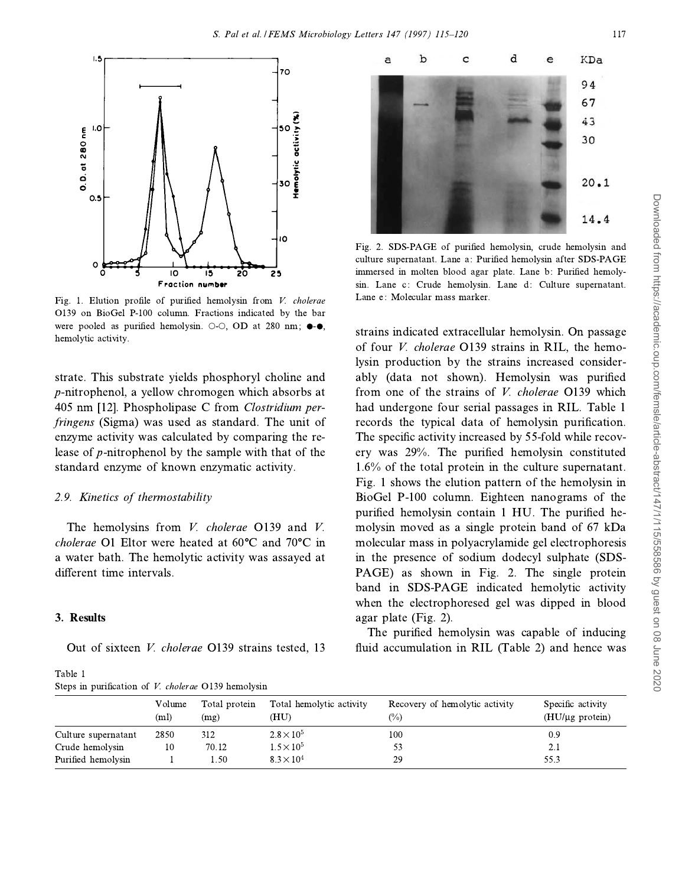

Fig. 1. Elution profile of purified hemolysin from V. cholerae O139 on BioGel P-100 column. Fractions indicated by the bar were pooled as purified hemolysin.  $\odot$ - $\odot$ , OD at 280 nm;  $\bullet$ - $\bullet$ , hemolytic activity.

strate. This substrate yields phosphoryl choline and *p*-nitrophenol, a vellow chromogen which absorbs at 405 nm [12]. Phospholipase C from *Clostridium perfringens* (Sigma) was used as standard. The unit of enzyme activity was calculated by comparing the release of  $p$ -nitrophenol by the sample with that of the standard enzyme of known enzymatic activity.

## 2.9. Kinetics of thermostability

The hemolysins from *V. cholerae* O139 and *V.* cholerae O1 Eltor were heated at 60°C and 70°C in a water bath. The hemolytic activity was assayed at different time intervals.

## 3. Results

Out of sixteen *V. cholerae* O139 strains tested, 13

Table 1 Steps in purification of V. cholerae O139 hemolysin



Fig. 2. SDS-PAGE of purified hemolysin, crude hemolysin and culture supernatant. Lane a: Purified hemolysin after SDS-PAGE immersed in molten blood agar plate. Lane b: Purified hemolysin. Lane c: Crude hemolysin. Lane d: Culture supernatant. Lane e: Molecular mass marker.

strains indicated extracellular hemolysin. On passage of four *V. cholerae* O139 strains in RIL, the hemolysin production by the strains increased considerably (data not shown). Hemolysin was purified from one of the strains of *V. cholerae* O139 which had undergone four serial passages in RIL. Table 1 records the typical data of hemolysin purification. The specific activity increased by 55-fold while recovery was 29%. The purified hemolysin constituted  $1.6\%$  of the total protein in the culture supernatant. Fig. 1 shows the elution pattern of the hemolysin in BioGel P-100 column. Eighteen nanograms of the purified hemolysin contain 1 HU. The purified hemolysin moved as a single protein band of 67 kDa molecular mass in polyacrylamide gel electrophoresis in the presence of sodium dodecyl sulphate (SDS-PAGE) as shown in Fig. 2. The single protein band in SDS-PAGE indicated hemolytic activity when the electrophoresed gel was dipped in blood agar plate (Fig. 2).

The purified hemolysin was capable of inducing fluid accumulation in RIL (Table 2) and hence was

|                     | Volume<br>(ml) | Total protein<br>(mg) | Total hemolytic activity<br>(HU) | Recovery of hemolytic activity<br>(%) | Specific activity<br>$(HU/\mu g$ protein) |
|---------------------|----------------|-----------------------|----------------------------------|---------------------------------------|-------------------------------------------|
| Culture supernatant | 2850           | 312                   | $2.8 \times 10^{5}$              | 100                                   | 0.9                                       |
| Crude hemolysin     | 10             | 70.12                 | $1.5 \times 10^{5}$              |                                       | 2.1                                       |
| Purified hemolysin  |                | 1.50                  | $8.3 \times 10^{4}$              | 29                                    | 55.3                                      |
|                     |                |                       |                                  |                                       |                                           |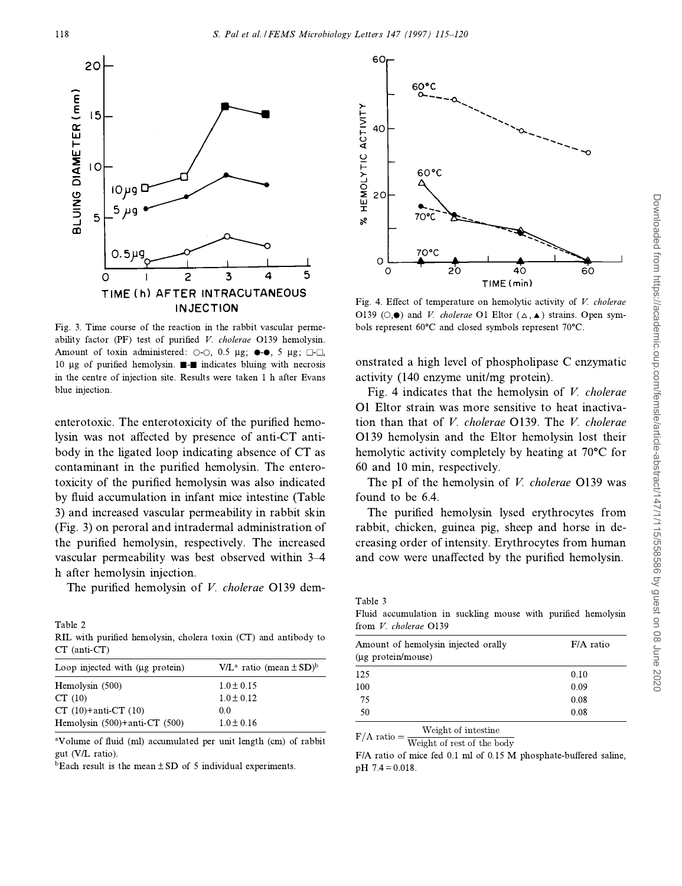

Fig. 3. Time course of the reaction in the rabbit vascular permeability factor (PF) test of purified V. cholerae O139 hemolysin. Amount of toxin administered:  $\circ$ - $\circ$ , 0.5  $\mu$ g;  $\bullet$ - $\bullet$ , 5  $\mu$ g;  $\Box$ - $\Box$ , 10 µg of purified hemolysin.  $\blacksquare$  indicates bluing with necrosis in the centre of injection site. Results were taken 1 h after Evans blue injection.

enterotoxic. The enterotoxicity of the purified hemolysin was not affected by presence of anti-CT antibody in the ligated loop indicating absence of CT as contaminant in the purified hemolysin. The enterotoxicity of the purified hemolysin was also indicated by fluid accumulation in infant mice intestine (Table 3) and increased vascular permeability in rabbit skin (Fig. 3) on peroral and intradermal administration of the purified hemolysin, respectively. The increased vascular permeability was best observed within 3-4 h after hemolysin injection.

The purified hemolysin of *V. cholerae* O139 dem-

Table 2 RIL with purified hemolysin, cholera toxin (CT) and antibody to CT (anti-CT)

| $V/L^a$ ratio (mean $\pm$ SD) <sup>b</sup> |
|--------------------------------------------|
| $1.0 \pm 0.15$                             |
| $1.0 \pm 0.12$                             |
| 0.0                                        |
| $1.0 \pm 0.16$                             |
|                                            |

<sup>a</sup>Volume of fluid (ml) accumulated per unit length (cm) of rabbit gut (V/L ratio).

 $b$ Each result is the mean  $\pm$  SD of 5 individual experiments.



Fig. 4. Effect of temperature on hemolytic activity of  $V$ . cholerae O139 ( $\odot$ . $\bullet$ ) and *V. cholerae* O1 Eltor ( $\triangle$ ,  $\blacktriangle$ ) strains. Open symbols represent 60°C and closed symbols represent 70°C.

onstrated a high level of phospholipase C enzymatic activity (140 enzyme unit/mg protein).

Fig. 4 indicates that the hemolysin of V. cholerae O1 Eltor strain was more sensitive to heat inactivation than that of V. cholerae O139. The V. cholerae O139 hemolysin and the Eltor hemolysin lost their hemolytic activity completely by heating at 70°C for 60 and 10 min, respectively.

The pI of the hemolysin of *V. cholerae* O139 was found to be 6.4.

The purified hemolysin lysed erythrocytes from rabbit, chicken, guinea pig, sheep and horse in decreasing order of intensity. Erythrocytes from human and cow were unaffected by the purified hemolysin.

Table 3

Fluid accumulation in suckling mouse with purified hemolysin from V. cholerae O139

| Amount of hemolysin injected orally | $F/A$ ratio |  |  |  |  |
|-------------------------------------|-------------|--|--|--|--|
| (µg protein/mouse)                  |             |  |  |  |  |
| 125                                 | 0.10        |  |  |  |  |
| 100                                 | 0.09        |  |  |  |  |
| 75                                  | 0.08        |  |  |  |  |
| 50                                  | 0.08        |  |  |  |  |
|                                     |             |  |  |  |  |

Weight of intestine  $F/A$  ratio  $=$ 

Weight of rest of the body

F/A ratio of mice fed 0.1 ml of 0.15 M phosphate-buffered saline,  $pH$  7.4 = 0.018.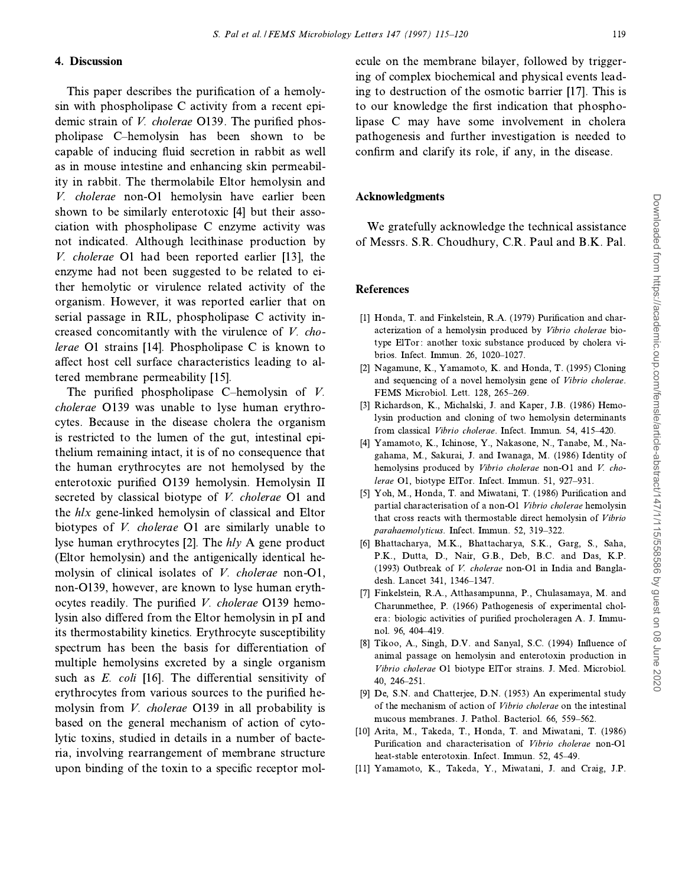#### 4. Discussion

This paper describes the purification of a hemolysin with phospholipase C activity from a recent epidemic strain of *V. cholerae* O139. The purified phospholipase C-hemolysin has been shown to be capable of inducing fluid secretion in rabbit as well as in mouse intestine and enhancing skin permeability in rabbit. The thermolabile Eltor hemolysin and V. cholerae non-O1 hemolysin have earlier been shown to be similarly enterotoxic [4] but their association with phospholipase C enzyme activity was not indicated. Although lecithinase production by *V. cholerae* O1 had been reported earlier [13], the enzyme had not been suggested to be related to either hemolytic or virulence related activity of the organism. However, it was reported earlier that on serial passage in RIL, phospholipase C activity increased concomitantly with the virulence of V. cholerae O1 strains [14]. Phospholipase C is known to affect host cell surface characteristics leading to altered membrane permeability [15].

The purified phospholipase C-hemolysin of  $V$ . *cholerae* O139 was unable to lyse human erythrocytes. Because in the disease cholera the organism is restricted to the lumen of the gut, intestinal epithe lium remaining intact, it is of no consequence that the human erythrocytes are not hemolysed by the enterotoxic purified O139 hemolysin. Hemolysin II secreted by classical biotype of V. cholerae O1 and the *hlx* gene-linked hemolysin of classical and Eltor biotypes of *V. cholerae* O1 are similarly unable to lyse human erythrocytes [2]. The  $hly$  A gene product (Eltor hemolysin) and the antigenically identical hemolysin of clinical isolates of V. cholerae non-O1, non-O139, however, are known to lyse human erythocytes readily. The purified V. cholerae O139 hemolysin also differed from the Eltor hemolysin in pI and its thermostability kinetics. Erythrocyte susceptibility spectrum has been the basis for differentiation of multiple hemolysins excreted by a single organism such as E. coli [16]. The differential sensitivity of erythrocytes from various sources to the purified hemolysin from *V. cholerae* O139 in all probability is based on the general mechanism of action of cytolytic toxins, studied in details in a number of bacteria, involving rearrangement of membrane structure upon binding of the toxin to a specific receptor molecule on the membrane bilayer, followed by triggering of complex biochemical and physical events leading to destruction of the osmotic barrier [17]. This is to our knowledge the first indication that phospholipase C may have some involvement in cholera pathogenesis and further investigation is needed to confirm and clarify its role, if any, in the disease.

## Acknowledgments

We gratefully acknowledge the technical assistance of Messrs. S.R. Choudhury, C.R. Paul and B.K. Pal.

## **References**

- [1] Honda, T. and Finkelstein, R.A. (1979) Purification and characterization of a hemolysin produced by Vibrio cholerae biotype ElTor: another toxic substance produced by cholera vibrios. Infect. Immun. 26, 1020-1027.
- [2] Nagamune, K., Yamamoto, K. and Honda, T. (1995) Cloning and sequencing of a novel hemolysin gene of Vibrio cholerae. FEMS Microbiol. Lett. 128, 265-269.
- [3] Richardson, K., Michalski, J. and Kaper, J.B. (1986) Hemolysin production and cloning of two hemolysin determinants from classical Vibrio cholerae. Infect. Immun. 54, 415-420.
- [4] Yamamoto, K., Ichinose, Y., Nakasone, N., Tanabe, M., Nagahama, M., Sakurai, J. and Iwanaga, M. (1986) Identity of hemolysins produced by Vibrio cholerae non-O1 and V. cholerae O1, biotype ElTor. Infect. Immun. 51, 927-931.
- [5] Yoh, M., Honda, T. and Miwatani, T. (1986) Purification and partial characterisation of a non-O1 Vibrio cholerae hemolysin that cross reacts with thermostable direct hemolysin of Vibrio parahaemolyticus. Infect. Immun. 52, 319-322.
- [6] Bhattacharya, M.K., Bhattacharya, S.K., Garg, S., Saha, P.K., Dutta, D., Nair, G.B., Deb, B.C. and Das, K.P. (1993) Outbreak of V. cholerae non-O1 in India and Bangladesh. Lancet 341, 1346-1347.
- [7] Finkelstein, R.A., Atthasampunna, P., Chulasamaya, M. and Charunmethee, P. (1966) Pathogenesis of experimental cholera: biologic activities of purified procholeragen A. J. Immunol. 96, 404-419.
- [8] Tikoo, A., Singh, D.V. and Sanyal, S.C. (1994) Influence of animal passage on hemolysin and enterotoxin production in Vibrio cholerae O1 biotype ElTor strains. J. Med. Microbiol. 40, 246-251.
- [9] De, S.N. and Chatterjee, D.N. (1953) An experimental study of the mechanism of action of *Vibrio cholerae* on the intestinal mucous membranes. J. Pathol. Bacteriol. 66, 559-562.
- [10] Arita, M., Takeda, T., Honda, T. and Miwatani, T. (1986) Purification and characterisation of Vibrio cholerae non-O1 heat-stable enterotoxin. Infect. Immun. 52, 45-49.
- [11] Yamamoto, K., Takeda, Y., Miwatani, J. and Craig, J.P.